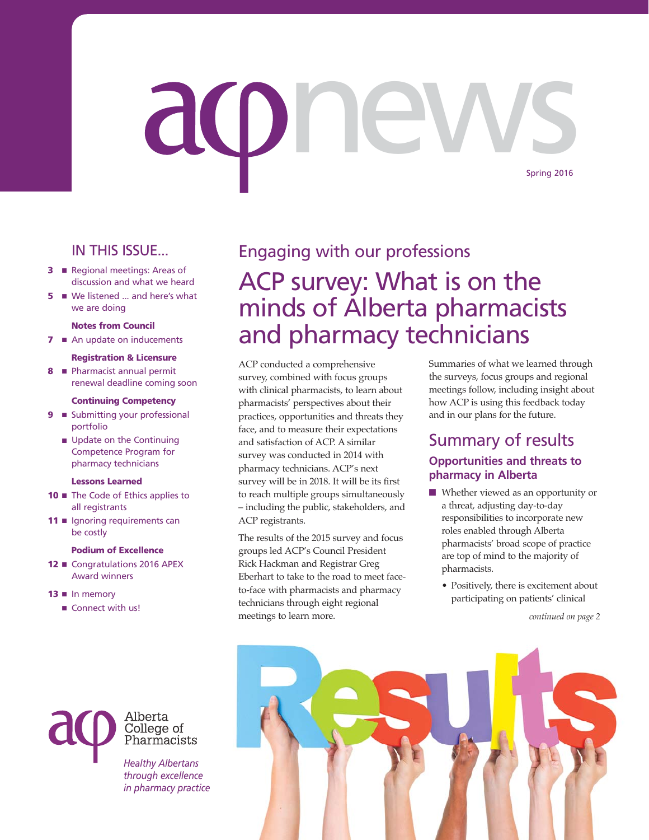# aone Spring 2016

#### IN THIS ISSUE...

- **3 n** Regional meetings: Areas of discussion and what we heard
- **5 No** We listened ... and here's what we are doing

#### **Notes from Council**

**7 ■** An update on inducements

#### **Registration & Licensure**

**8 ■** Pharmacist annual permit renewal deadline coming soon

#### **Continuing Competency**

- **9 m** Submitting your professional portfolio
	- **n** Update on the Continuing Competence Program for pharmacy technicians

#### **Lessons Learned**

- **10 ■** The Code of Ethics applies to all registrants
- **11** Ignoring requirements can be costly

#### **Podium of Excellence**

12 Congratulations 2016 APEX Award winners

> *Healthy Albertans through excellence*

Alberta College of Pharmacists

#### $13 \nightharpoonup$  In memory

■ Connect with us!

# Engaging with our professions ACP survey: What is on the minds of Alberta pharmacists and pharmacy technicians

ACP conducted a comprehensive survey, combined with focus groups with clinical pharmacists, to learn about pharmacists' perspectives about their practices, opportunities and threats they face, and to measure their expectations and satisfaction of ACP. A similar survey was conducted in 2014 with pharmacy technicians. ACP's next survey will be in 2018. It will be its first to reach multiple groups simultaneously – including the public, stakeholders, and ACP registrants.

The results of the 2015 survey and focus groups led ACP's Council President Rick Hackman and Registrar Greg Eberhart to take to the road to meet faceto-face with pharmacists and pharmacy technicians through eight regional meetings to learn more.

Summaries of what we learned through the surveys, focus groups and regional meetings follow, including insight about how ACP is using this feedback today and in our plans for the future.

#### Summary of results **Opportunities and threats to pharmacy in Alberta**

- $\blacksquare$  Whether viewed as an opportunity or a threat, adjusting day-to-day responsibilities to incorporate new roles enabled through Alberta pharmacists' broad scope of practice are top of mind to the majority of pharmacists.
	- Positively, there is excitement about participating on patients' clinical

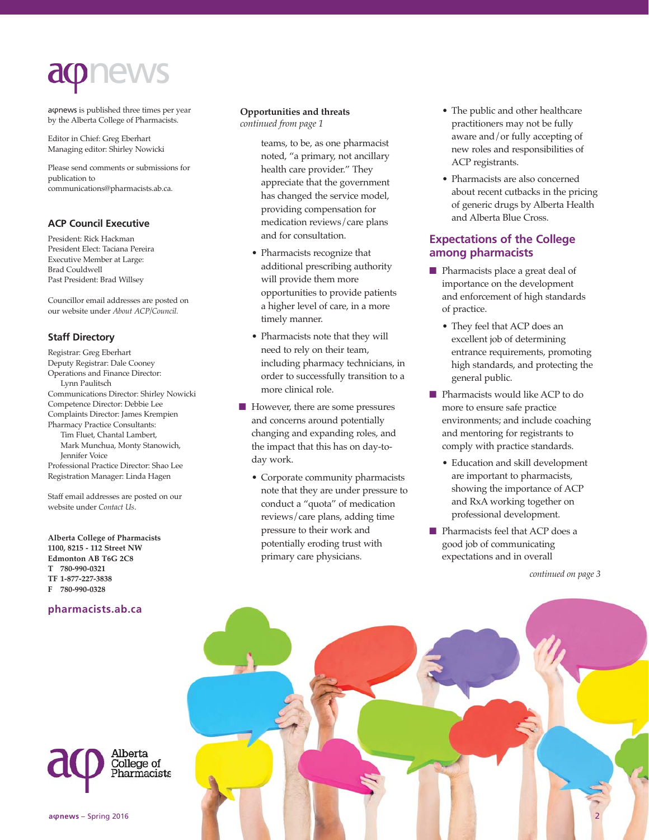

aφnews is published three times per year by the Alberta College of Pharmacists.

Editor in Chief: Greg Eberhart Managing editor: Shirley Nowicki

Please send comments or submissions for publication to communications@pharmacists.ab.ca.

#### **ACP Council Executive**

President: Rick Hackman President Elect: Taciana Pereira Executive Member at Large: Brad Couldwell Past President: Brad Willsey

Councillor email addresses are posted on our website under *About ACP/Council.*

#### **Staff Directory**

Registrar: Greg Eberhart Deputy Registrar: Dale Cooney Operations and Finance Director: Lynn Paulitsch Communications Director: Shirley Nowicki Competence Director: Debbie Lee Complaints Director: James Krempien Pharmacy Practice Consultants: Tim Fluet, Chantal Lambert, Mark Munchua, Monty Stanowich, Jennifer Voice Professional Practice Director: Shao Lee Registration Manager: Linda Hagen

Staff email addresses are posted on our website under *Contact Us*.

**Alberta College of Pharmacists 1100, 8215 - 112 Street NW Edmonton AB T6G 2C8 T 780-990-0321 TF 1-877-227-3838 F 780-990-0328**

#### **pharmacists.ab.ca**

#### **Opportunities and threats**  *continued from page 1*

teams, to be, as one pharmacist noted, "a primary, not ancillary health care provider." They appreciate that the government has changed the service model, providing compensation for medication reviews/care plans and for consultation.

- Pharmacists recognize that additional prescribing authority will provide them more opportunities to provide patients a higher level of care, in a more timely manner.
- Pharmacists note that they will need to rely on their team, including pharmacy technicians, in order to successfully transition to a more clinical role.
- However, there are some pressures and concerns around potentially changing and expanding roles, and the impact that this has on day-today work.
	- Corporate community pharmacists note that they are under pressure to conduct a "quota" of medication reviews/care plans, adding time pressure to their work and potentially eroding trust with primary care physicians.
- The public and other healthcare practitioners may not be fully aware and/or fully accepting of new roles and responsibilities of ACP registrants.
- Pharmacists are also concerned about recent cutbacks in the pricing of generic drugs by Alberta Health and Alberta Blue Cross.

#### **Expectations of the College among pharmacists**

- **n** Pharmacists place a great deal of importance on the development and enforcement of high standards of practice.
	- They feel that ACP does an excellent job of determining entrance requirements, promoting high standards, and protecting the general public.
- Pharmacists would like ACP to do more to ensure safe practice environments; and include coaching and mentoring for registrants to comply with practice standards.
	- Education and skill development are important to pharmacists, showing the importance of ACP and RxA working together on professional development.
- Pharmacists feel that ACP does a good job of communicating expectations and in overall



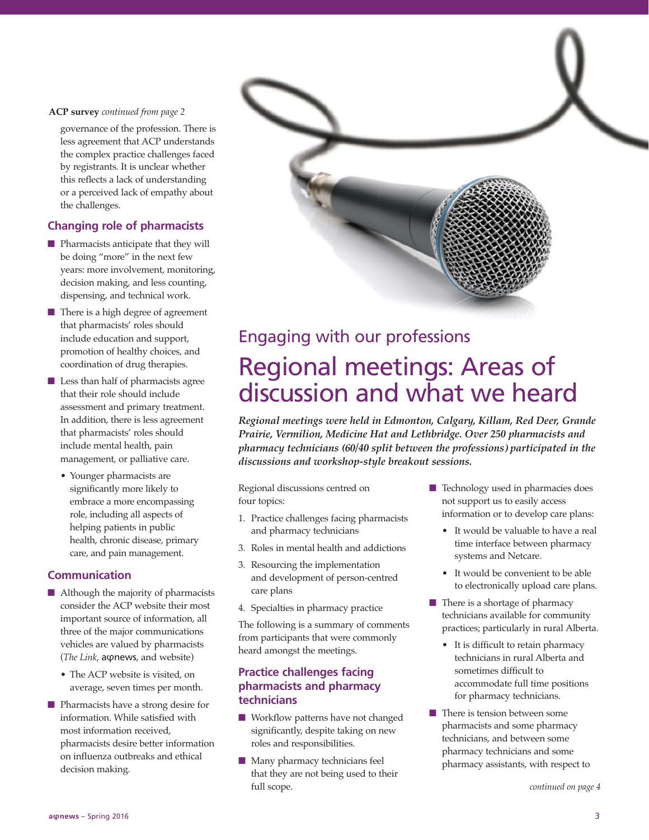#### **ACP survey** *continued from page 2*

governance of the profession. There is less agreement that ACP understands the complex practice challenges faced by registrants. It is unclear whether this reflects a lack of understanding or a perceived lack of empathy about the challenges.

#### **Changing role of pharmacists**

- $\blacksquare$  Pharmacists anticipate that they will be doing "more" in the next few years: more involvement, monitoring, decision making, and less counting, dispensing, and technical work.
- $\blacksquare$  There is a high degree of agreement that pharmacists' roles should include education and support, promotion of healthy choices, and coordination of drug therapies.
- $\blacksquare$  Less than half of pharmacists agree that their role should include assessment and primary treatment. In addition, there is less agreement that pharmacists' roles should include mental health, pain management, or palliative care.
	- Younger pharmacists are significantly more likely to embrace a more encompassing role, including all aspects of helping patients in public health, chronic disease, primary care, and pain management.

#### **Communication**

- $\blacksquare$  Although the majority of pharmacists consider the ACP website their most important source of information, all three of the major communications vehicles are valued by pharmacists (*The Link*, aφnews, and website)
	- The ACP website is visited, on average, seven times per month.
- **n** Pharmacists have a strong desire for information. While satisfied with most information received, pharmacists desire better information on influenza outbreaks and ethical decision making.



# Regional meetings: Areas of discussion and what we heard

*Regional meetings were held in Edmonton, Calgary, Killam, Red Deer, Grande Prairie, Vermilion, Medicine Hat and Lethbridge. Over 250 pharmacists and pharmacy technicians (60/40 split between the professions) participated in the discussions and workshop-style breakout sessions.*

Regional discussions centred on four topics:

- 1. Practice challenges facing pharmacists and pharmacy technicians
- 3. Roles in mental health and addictions
- 3. Resourcing the implementation and development of person-centred care plans
- 4. Specialties in pharmacy practice

The following is a summary of comments from participants that were commonly heard amongst the meetings.

#### **Practice challenges facing pharmacists and pharmacy technicians**

- Workflow patterns have not changed significantly, despite taking on new roles and responsibilities.
- $\blacksquare$  Many pharmacy technicians feel that they are not being used to their full scope.
- $\blacksquare$  Technology used in pharmacies does not support us to easily access information or to develop care plans:
	- It would be valuable to have a real time interface between pharmacy systems and Netcare.
	- It would be convenient to be able to electronically upload care plans.
- $\blacksquare$  There is a shortage of pharmacy technicians available for community practices; particularly in rural Alberta.
	- It is difficult to retain pharmacy technicians in rural Alberta and sometimes difficult to accommodate full time positions for pharmacy technicians.
- $\blacksquare$  There is tension between some pharmacists and some pharmacy technicians, and between some pharmacy technicians and some pharmacy assistants, with respect to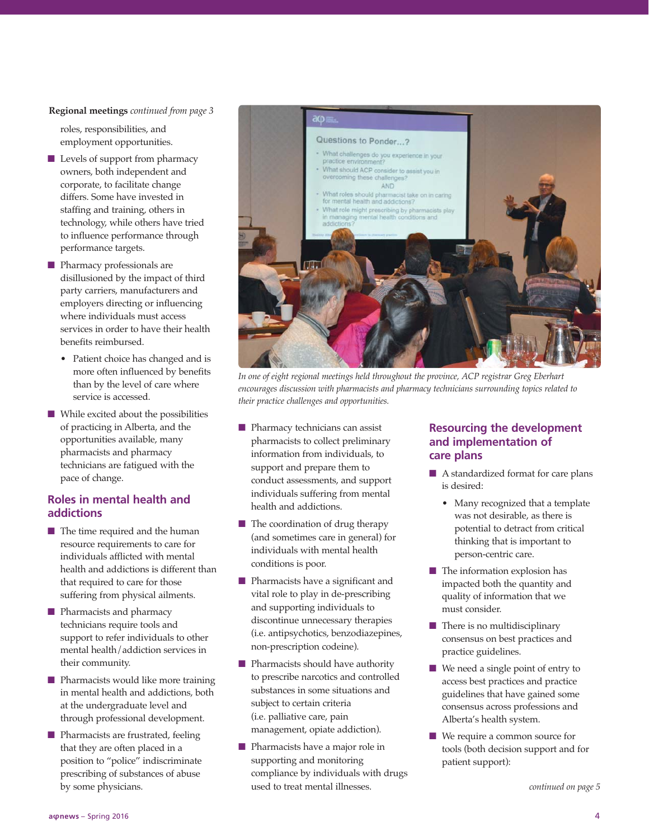#### **Regional meetings** *continued from page 3*

roles, responsibilities, and employment opportunities.

- $\blacksquare$  Levels of support from pharmacy owners, both independent and corporate, to facilitate change differs. Some have invested in staffing and training, others in technology, while others have tried to influence performance through performance targets.
- **n** Pharmacy professionals are disillusioned by the impact of third party carriers, manufacturers and employers directing or influencing where individuals must access services in order to have their health benefits reimbursed.
	- Patient choice has changed and is more often influenced by benefits than by the level of care where service is accessed.
- $\blacksquare$  While excited about the possibilities of practicing in Alberta, and the opportunities available, many pharmacists and pharmacy technicians are fatigued with the pace of change.

#### **Roles in mental health and addictions**

- $\blacksquare$  The time required and the human resource requirements to care for individuals afflicted with mental health and addictions is different than that required to care for those suffering from physical ailments.
- **n** Pharmacists and pharmacy technicians require tools and support to refer individuals to other mental health/addiction services in their community.
- $\blacksquare$  Pharmacists would like more training in mental health and addictions, both at the undergraduate level and through professional development.
- $\blacksquare$  Pharmacists are frustrated, feeling that they are often placed in a position to "police" indiscriminate prescribing of substances of abuse by some physicians.



*In one of eight regional meetings held throughout the province, ACP registrar Greg Eberhart encourages discussion with pharmacists and pharmacy technicians surrounding topics related to their practice challenges and opportunities.*

- $\blacksquare$  Pharmacy technicians can assist pharmacists to collect preliminary information from individuals, to support and prepare them to conduct assessments, and support individuals suffering from mental health and addictions.
- $\blacksquare$  The coordination of drug therapy (and sometimes care in general) for individuals with mental health conditions is poor.
- **n** Pharmacists have a significant and vital role to play in de-prescribing and supporting individuals to discontinue unnecessary therapies (i.e. antipsychotics, benzodiazepines, non-prescription codeine).
- **n** Pharmacists should have authority to prescribe narcotics and controlled substances in some situations and subject to certain criteria (i.e. palliative care, pain management, opiate addiction).
- **n** Pharmacists have a major role in supporting and monitoring compliance by individuals with drugs used to treat mental illnesses.

#### **Resourcing the development and implementation of care plans**

- $\blacksquare$  A standardized format for care plans is desired:
	- Many recognized that a template was not desirable, as there is potential to detract from critical thinking that is important to person-centric care.
- $\blacksquare$  The information explosion has impacted both the quantity and quality of information that we must consider.
- $\blacksquare$  There is no multidisciplinary consensus on best practices and practice guidelines.
- $\blacksquare$  We need a single point of entry to access best practices and practice guidelines that have gained some consensus across professions and Alberta's health system.
- We require a common source for tools (both decision support and for patient support):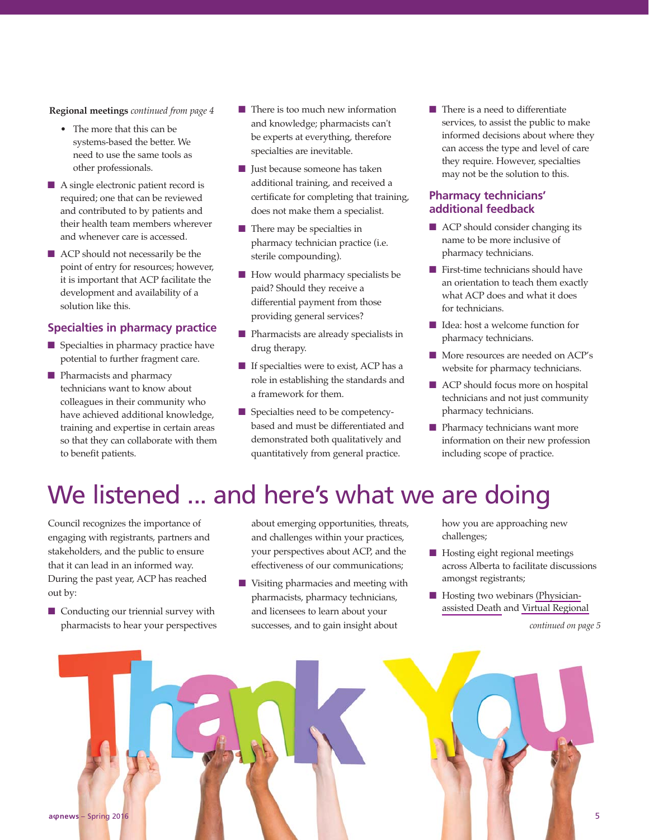**Regional meetings** *continued from page 4*

- The more that this can be systems-based the better. We need to use the same tools as other professionals.
- $\blacksquare$  A single electronic patient record is required; one that can be reviewed and contributed to by patients and their health team members wherever and whenever care is accessed.
- $\blacksquare$  ACP should not necessarily be the point of entry for resources; however, it is important that ACP facilitate the development and availability of a solution like this.

#### **Specialties in pharmacy practice**

- $\blacksquare$  Specialties in pharmacy practice have potential to further fragment care.
- **n** Pharmacists and pharmacy technicians want to know about colleagues in their community who have achieved additional knowledge, training and expertise in certain areas so that they can collaborate with them to benefit patients.
- $\blacksquare$  There is too much new information and knowledge; pharmacists can't be experts at everything, therefore specialties are inevitable.
- **n** Just because someone has taken additional training, and received a certificate for completing that training, does not make them a specialist.
- $\blacksquare$  There may be specialties in pharmacy technician practice (i.e. sterile compounding).
- $\blacksquare$  How would pharmacy specialists be paid? Should they receive a differential payment from those providing general services?
- **n** Pharmacists are already specialists in drug therapy.
- $\blacksquare$  If specialties were to exist, ACP has a role in establishing the standards and a framework for them.
- Specialties need to be competencybased and must be differentiated and demonstrated both qualitatively and quantitatively from general practice.

 $\blacksquare$  There is a need to differentiate services, to assist the public to make informed decisions about where they can access the type and level of care they require. However, specialties may not be the solution to this.

#### **Pharmacy technicians' additional feedback**

- ACP should consider changing its name to be more inclusive of pharmacy technicians.
- $\blacksquare$  First-time technicians should have an orientation to teach them exactly what ACP does and what it does for technicians.
- Idea: host a welcome function for pharmacy technicians.
- More resources are needed on ACP's website for pharmacy technicians.
- ACP should focus more on hospital technicians and not just community pharmacy technicians.
- $\blacksquare$  Pharmacy technicians want more information on their new profession including scope of practice.

# We listened ... and here's what we are doing

Council recognizes the importance of engaging with registrants, partners and stakeholders, and the public to ensure that it can lead in an informed way. During the past year, ACP has reached out by:

 $\blacksquare$  Conducting our triennial survey with pharmacists to hear your perspectives about emerging opportunities, threats, and challenges within your practices, your perspectives about ACP, and the effectiveness of our communications;

 $\blacksquare$  Visiting pharmacies and meeting with pharmacists, pharmacy technicians, and licensees to learn about your successes, and to gain insight about

how you are approaching new challenges;

- $\blacksquare$  Hosting eight regional meetings across Alberta to facilitate discussions amongst registrants;
- $\blacksquare$  Hosting two webinars [\(Physician](https://pharmacists.ab.ca/physician-assisted-death-pad)[assisted Death](https://pharmacists.ab.ca/physician-assisted-death-pad) and [Virtual Regional](https://pharmacists.ab.ca/regional-meeting-webinar)

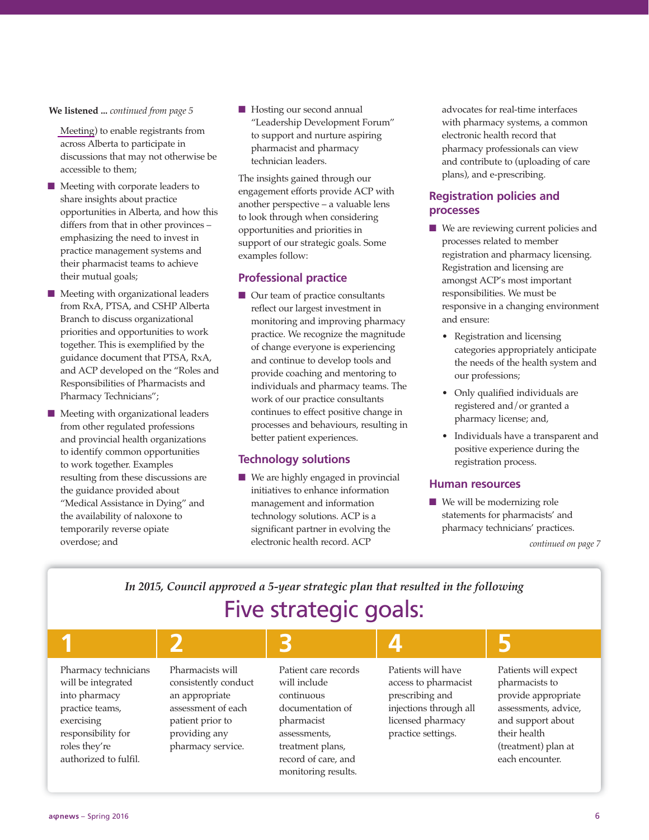#### **We listened ...** *continued from page 5*

[Meeting\)](https://pharmacists.ab.ca/regional-meeting-webinar) to enable registrants from across Alberta to participate in discussions that may not otherwise be accessible to them;

- $\blacksquare$  Meeting with corporate leaders to share insights about practice opportunities in Alberta, and how this differs from that in other provinces – emphasizing the need to invest in practice management systems and their pharmacist teams to achieve their mutual goals;
- n Meeting with organizational leaders from RxA, PTSA, and CSHP Alberta Branch to discuss organizational priorities and opportunities to work together. This is exemplified by the guidance document that PTSA, RxA, and ACP developed on the "Roles and Responsibilities of Pharmacists and Pharmacy Technicians";
- $\blacksquare$  Meeting with organizational leaders from other regulated professions and provincial health organizations to identify common opportunities to work together. Examples resulting from these discussions are the guidance provided about "Medical Assistance in Dying" and the availability of naloxone to temporarily reverse opiate overdose; and

■ Hosting our second annual "Leadership Development Forum" to support and nurture aspiring pharmacist and pharmacy technician leaders.

The insights gained through our engagement efforts provide ACP with another perspective – a valuable lens to look through when considering opportunities and priorities in support of our strategic goals. Some examples follow:

#### **Professional practice**

 $\blacksquare$  Our team of practice consultants reflect our largest investment in monitoring and improving pharmacy practice. We recognize the magnitude of change everyone is experiencing and continue to develop tools and provide coaching and mentoring to individuals and pharmacy teams. The work of our practice consultants continues to effect positive change in processes and behaviours, resulting in better patient experiences.

#### **Technology solutions**

 $\blacksquare$  We are highly engaged in provincial initiatives to enhance information management and information technology solutions. ACP is a significant partner in evolving the electronic health record. ACP

advocates for real-time interfaces with pharmacy systems, a common electronic health record that pharmacy professionals can view and contribute to (uploading of care plans), and e-prescribing.

#### **Registration policies and processes**

- $\blacksquare$  We are reviewing current policies and processes related to member registration and pharmacy licensing. Registration and licensing are amongst ACP's most important responsibilities. We must be responsive in a changing environment and ensure:
	- Registration and licensing categories appropriately anticipate the needs of the health system and our professions;
	- Only qualified individuals are registered and/or granted a pharmacy license; and,
	- Individuals have a transparent and positive experience during the registration process.

#### **Human resources**

 $\blacksquare$  We will be modernizing role statements for pharmacists' and pharmacy technicians' practices.

*continued on page 7*

#### *In 2015, Council approved a 5-year strategic plan that resulted in the following* Five strategic goals:

| Pharmacy technicians<br>will be integrated<br>into pharmacy<br>practice teams,<br>exercising<br>responsibility for<br>roles they're<br>authorized to fulfil. | Pharmacists will<br>consistently conduct<br>an appropriate<br>assessment of each<br>patient prior to<br>providing any<br>pharmacy service. | Patient care records<br>will include<br>continuous<br>documentation of<br>pharmacist<br>assessments,<br>treatment plans,<br>record of care, and<br>monitoring results. | Patients will have<br>access to pharmacist<br>prescribing and<br>injections through all<br>licensed pharmacy<br>practice settings. | Patients will expect<br>pharmacists to<br>provide appropriate<br>assessments, advice,<br>and support about<br>their health<br>(treatment) plan at<br>each encounter. |
|--------------------------------------------------------------------------------------------------------------------------------------------------------------|--------------------------------------------------------------------------------------------------------------------------------------------|------------------------------------------------------------------------------------------------------------------------------------------------------------------------|------------------------------------------------------------------------------------------------------------------------------------|----------------------------------------------------------------------------------------------------------------------------------------------------------------------|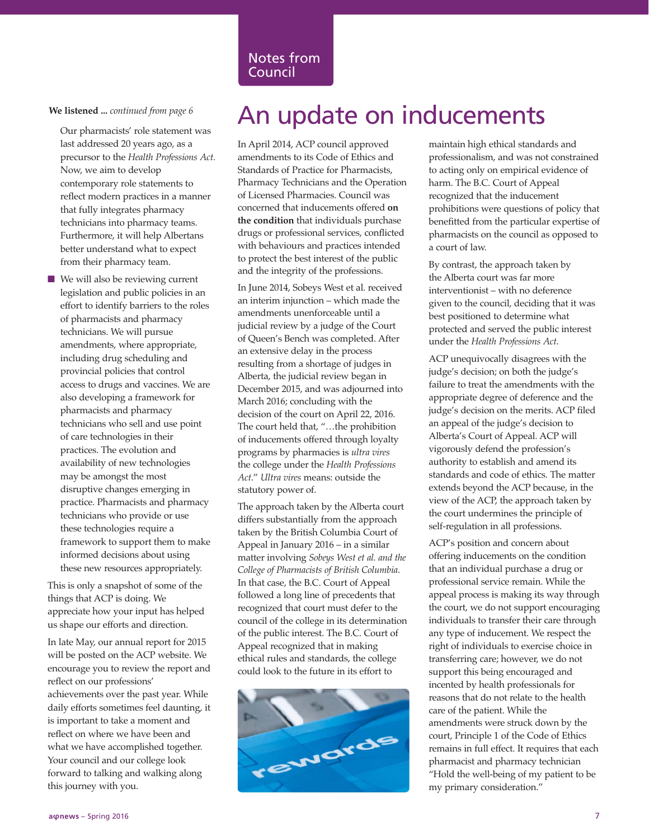Our pharmacists' role statement was last addressed 20 years ago, as a precursor to the *Health Professions Act.* Now, we aim to develop contemporary role statements to reflect modern practices in a manner that fully integrates pharmacy technicians into pharmacy teams. Furthermore, it will help Albertans better understand what to expect from their pharmacy team.

 $\blacksquare$  We will also be reviewing current legislation and public policies in an effort to identify barriers to the roles of pharmacists and pharmacy technicians. We will pursue amendments, where appropriate, including drug scheduling and provincial policies that control access to drugs and vaccines. We are also developing a framework for pharmacists and pharmacy technicians who sell and use point of care technologies in their practices. The evolution and availability of new technologies may be amongst the most disruptive changes emerging in practice. Pharmacists and pharmacy technicians who provide or use these technologies require a framework to support them to make informed decisions about using these new resources appropriately.

This is only a snapshot of some of the things that ACP is doing. We appreciate how your input has helped us shape our efforts and direction.

In late May, our annual report for 2015 will be posted on the ACP website. We encourage you to review the report and reflect on our professions' achievements over the past year. While daily efforts sometimes feel daunting, it is important to take a moment and reflect on where we have been and what we have accomplished together. Your council and our college look forward to talking and walking along this journey with you.

## We listened ... *continued from page 6* An update on inducements

In April 2014, ACP council approved amendments to its Code of Ethics and Standards of Practice for Pharmacists, Pharmacy Technicians and the Operation of Licensed Pharmacies. Council was concerned that inducements offered **on the condition** that individuals purchase drugs or professional services, conflicted with behaviours and practices intended to protect the best interest of the public and the integrity of the professions.

In June 2014, Sobeys West et al. received an interim injunction – which made the amendments unenforceable until a judicial review by a judge of the Court of Queen's Bench was completed. After an extensive delay in the process resulting from a shortage of judges in Alberta, the judicial review began in December 2015, and was adjourned into March 2016; concluding with the decision of the court on April 22, 2016. The court held that, "…the prohibition of inducements offered through loyalty programs by pharmacies is *ultra vires* the college under the *Health Professions Act*." *Ultra vires* means: outside the statutory power of.

The approach taken by the Alberta court differs substantially from the approach taken by the British Columbia Court of Appeal in January 2016 – in a similar matter involving *Sobeys West et al. and the College of Pharmacists of British Columbia*. In that case, the B.C. Court of Appeal followed a long line of precedents that recognized that court must defer to the council of the college in its determination of the public interest. The B.C. Court of Appeal recognized that in making ethical rules and standards, the college could look to the future in its effort to



maintain high ethical standards and professionalism, and was not constrained to acting only on empirical evidence of harm. The B.C. Court of Appeal recognized that the inducement prohibitions were questions of policy that benefitted from the particular expertise of pharmacists on the council as opposed to a court of law.

By contrast, the approach taken by the Alberta court was far more interventionist – with no deference given to the council, deciding that it was best positioned to determine what protected and served the public interest under the *Health Professions Act*.

ACP unequivocally disagrees with the judge's decision; on both the judge's failure to treat the amendments with the appropriate degree of deference and the judge's decision on the merits. ACP filed an appeal of the judge's decision to Alberta's Court of Appeal. ACP will vigorously defend the profession's authority to establish and amend its standards and code of ethics. The matter extends beyond the ACP because, in the view of the ACP, the approach taken by the court undermines the principle of self-regulation in all professions.

ACP's position and concern about offering inducements on the condition that an individual purchase a drug or professional service remain. While the appeal process is making its way through the court, we do not support encouraging individuals to transfer their care through any type of inducement. We respect the right of individuals to exercise choice in transferring care; however, we do not support this being encouraged and incented by health professionals for reasons that do not relate to the health care of the patient. While the amendments were struck down by the court, Principle 1 of the Code of Ethics remains in full effect. It requires that each pharmacist and pharmacy technician "Hold the well-being of my patient to be my primary consideration."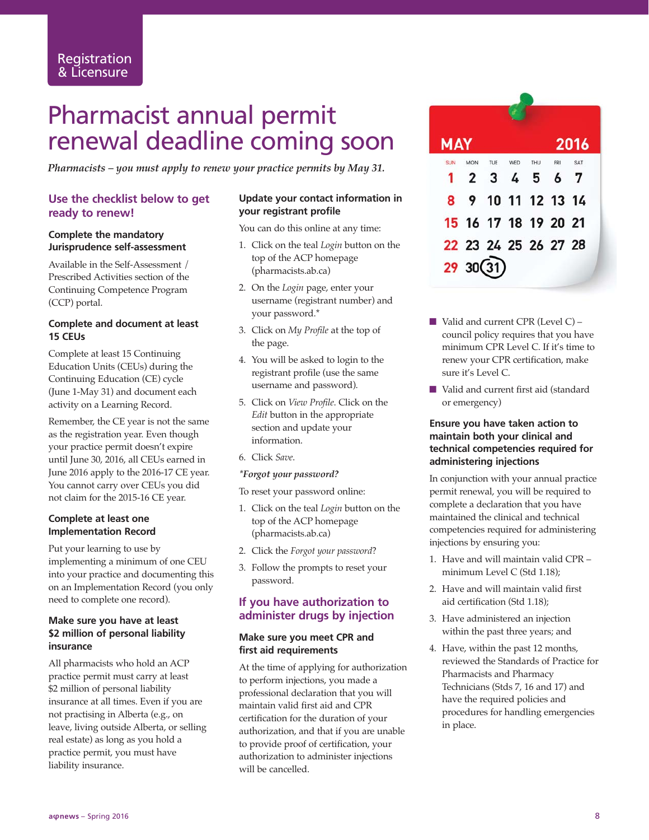# Pharmacist annual permit renewal deadline coming soon

*Pharmacists – you must apply to renew your practice permits by May 31.*

#### **Use the checklist below to get ready to renew!**

#### **Complete the mandatory Jurisprudence self-assessment**

Available in the Self-Assessment / Prescribed Activities section of the Continuing Competence Program (CCP) portal.

#### **Complete and document at least 15 CEUs**

Complete at least 15 Continuing Education Units (CEUs) during the Continuing Education (CE) cycle (June 1-May 31) and document each activity on a Learning Record.

Remember, the CE year is not the same as the registration year. Even though your practice permit doesn't expire until June 30, 2016, all CEUs earned in June 2016 apply to the 2016-17 CE year. You cannot carry over CEUs you did not claim for the 2015-16 CE year.

#### **Complete at least one Implementation Record**

Put your learning to use by implementing a minimum of one CEU into your practice and documenting this on an Implementation Record (you only need to complete one record).

#### **Make sure you have at least \$2 million of personal liability insurance**

All pharmacists who hold an ACP practice permit must carry at least \$2 million of personal liability insurance at all times. Even if you are not practising in Alberta (e.g., on leave, living outside Alberta, or selling real estate) as long as you hold a practice permit, you must have liability insurance.

#### **Update your contact information in your registrant profile**

You can do this online at any time:

- 1. Click on the teal *Login* button on the top of the ACP homepage (pharmacists.ab.ca)
- 2. On the *Login* page, enter your username (registrant number) and your password.\*
- 3. Click on *My Profile* at the top of the page.
- 4. You will be asked to login to the registrant profile (use the same username and password).
- 5. Click on *View Profile*. Click on the *Edit* button in the appropriate section and update your information.
- 6. Click *Save*.

#### *\*Forgot your password?*

To reset your password online:

- 1. Click on the teal *Login* button on the top of the ACP homepage (pharmacists.ab.ca)
- 2. Click the *Forgot your password*?
- 3. Follow the prompts to reset your password.

#### **If you have authorization to administer drugs by injection**

#### **Make sure you meet CPR and first aid requirements**

At the time of applying for authorization to perform injections, you made a professional declaration that you will maintain valid first aid and CPR certification for the duration of your authorization, and that if you are unable to provide proof of certification, your authorization to administer injections will be cancelled.

| <b>MAY</b> |                      |         |     |     | 2016 |  |
|------------|----------------------|---------|-----|-----|------|--|
| <b>SUN</b> | <b>MON</b>           | TUE WED | THU | FRI | SAT  |  |
|            | 1 2 3 4 5 6 7        |         |     |     |      |  |
|            | 8 9 10 11 12 13 14   |         |     |     |      |  |
|            | 15 16 17 18 19 20 21 |         |     |     |      |  |
|            | 22 23 24 25 26 27 28 |         |     |     |      |  |
|            | 2930(31)             |         |     |     |      |  |

- $\blacksquare$  Valid and current CPR (Level C) council policy requires that you have minimum CPR Level C. If it's time to renew your CPR certification, make sure it's Level C.
- Valid and current first aid (standard or emergency)

#### **Ensure you have taken action to maintain both your clinical and technical competencies required for administering injections**

In conjunction with your annual practice permit renewal, you will be required to complete a declaration that you have maintained the clinical and technical competencies required for administering injections by ensuring you:

- 1. Have and will maintain valid CPR minimum Level C (Std 1.18);
- 2. Have and will maintain valid first aid certification (Std 1.18);
- 3. Have administered an injection within the past three years; and
- 4. Have, within the past 12 months, reviewed the Standards of Practice for Pharmacists and Pharmacy Technicians (Stds 7, 16 and 17) and have the required policies and procedures for handling emergencies in place.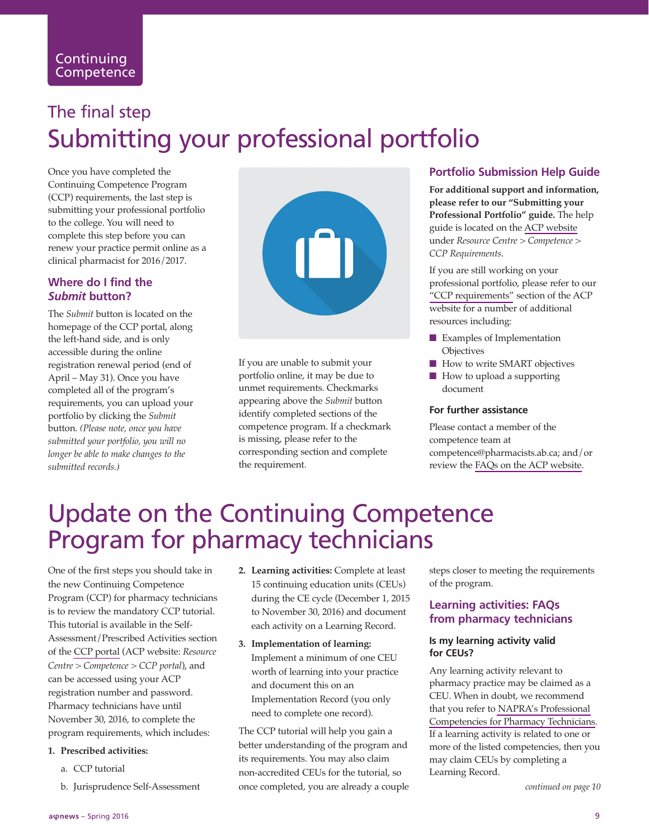# The final step Submitting your professional portfolio

Once you have completed the Continuing Competence Program (CCP) requirements, the last step is submitting your professional portfolio to the college. You will need to complete this step before you can renew your practice permit online as a clinical pharmacist for 2016/2017.

#### **Where do I find the** *Submit* **button?**

The *Submit* button is located on the homepage of the CCP portal, along the left-hand side, and is only accessible during the online registration renewal period (end of April – May 31). Once you have completed all of the program's requirements, you can upload your portfolio by clicking the *Submit* button. *(Please note, once you have submitted your portfolio, you will no longer be able to make changes to the submitted records.)*



If you are unable to submit your portfolio online, it may be due to unmet requirements. Checkmarks appearing above the *Submit* button identify completed sections of the competence program. If a checkmark is missing, please refer to the corresponding section and complete the requirement.

#### **Portfolio Submission Help Guide**

**For additional support and information, please refer to our "Submitting your Professional Portfolio" guide.** The help guide is located on the [ACP website](https://pharmacists.ab.ca/ccp-requirements) under *Resource Centre > Competence > CCP Requirements*.

If you are still working on your professional portfolio, please refer to our ["CCP requirements"](https://pharmacists.ab.ca/ccp-requirements) section of the ACP website for a number of additional resources including:

- $\blacksquare$  Examples of Implementation **Objectives**
- How to write SMART objectives
- $\blacksquare$  How to upload a supporting document

#### **For further assistance**

Please contact a member of the competence team at competence@pharmacists.ab.ca; and/or review the [FAQs on the ACP website.](https://pharmacists.ab.ca/faq?shs_term_node_tid_depth=1)

# Update on the Continuing Competence Program for pharmacy technicians

One of the first steps you should take in the new Continuing Competence Program (CCP) for pharmacy technicians is to review the mandatory CCP tutorial. This tutorial is available in the Self-Assessment/Prescribed Activities section of the [CCP portal](https://www2.skilsure.net/skilsure_acp_cpd/Login/ccplogin.php) (ACP website: *Resource Centre > Competence > CCP portal*), and can be accessed using your ACP registration number and password. Pharmacy technicians have until November 30, 2016, to complete the program requirements, which includes:

#### **1. Prescribed activities:**

- a. CCP tutorial
- b. Jurisprudence Self-Assessment
- **2. Learning activities:** Complete at least 15 continuing education units (CEUs) during the CE cycle (December 1, 2015 to November 30, 2016) and document each activity on a Learning Record.
- **3. Implementation of learning:** Implement a minimum of one CEU worth of learning into your practice and document this on an Implementation Record (you only need to complete one record).

The CCP tutorial will help you gain a better understanding of the program and its requirements. You may also claim non-accredited CEUs for the tutorial, so once completed, you are already a couple

steps closer to meeting the requirements of the program.

#### **Learning activities: FAQs from pharmacy technicians**

#### **Is my learning activity valid for CEUs?**

Any learning activity relevant to pharmacy practice may be claimed as a CEU. When in doubt, we recommend that you refer to [NAPRA's Professional](http://napra.ca/pages/PharmacyTechnicians/pharmacytechnicianscompetencies.aspx) [Competencies for Pharmacy Technicians.](http://napra.ca/pages/PharmacyTechnicians/pharmacytechnicianscompetencies.aspx) If a learning activity is related to one or more of the listed competencies, then you may claim CEUs by completing a Learning Record.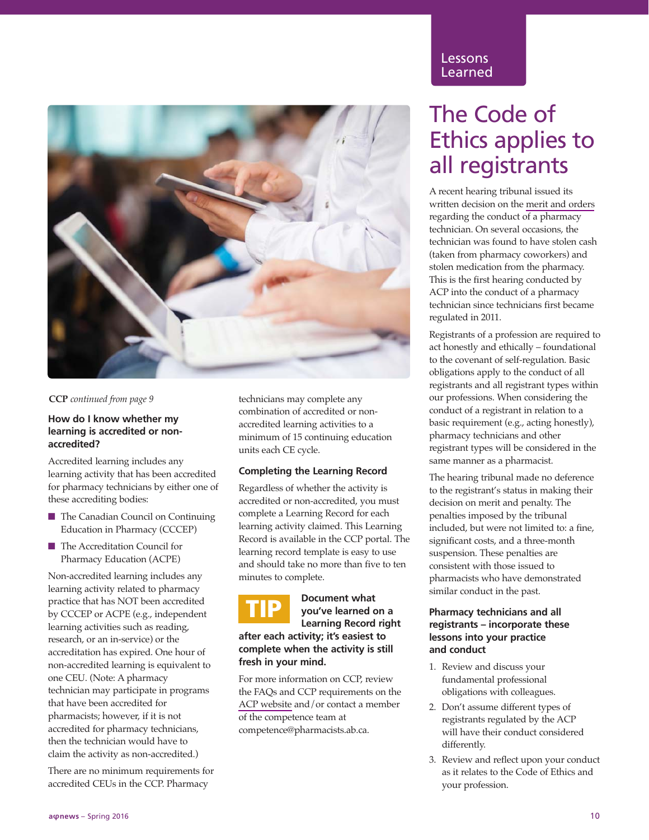

#### **CCP** *continued from page 9*

#### **How do I know whether my learning is accredited or nonaccredited?**

Accredited learning includes any learning activity that has been accredited for pharmacy technicians by either one of these accrediting bodies:

- The Canadian Council on Continuing Education in Pharmacy (CCCEP)
- The Accreditation Council for Pharmacy Education (ACPE)

Non-accredited learning includes any learning activity related to pharmacy practice that has NOT been accredited by CCCEP or ACPE (e.g., independent learning activities such as reading, research, or an in-service) or the accreditation has expired. One hour of non-accredited learning is equivalent to one CEU. (Note: A pharmacy technician may participate in programs that have been accredited for pharmacists; however, if it is not accredited for pharmacy technicians, then the technician would have to claim the activity as non-accredited.)

There are no minimum requirements for accredited CEUs in the CCP. Pharmacy

technicians may complete any combination of accredited or nonaccredited learning activities to a minimum of 15 continuing education units each CE cycle.

#### **Completing the Learning Record**

Regardless of whether the activity is accredited or non-accredited, you must complete a Learning Record for each learning activity claimed. This Learning Record is available in the CCP portal. The learning record template is easy to use and should take no more than five to ten minutes to complete.

# **TIP**

#### **Document what you've learned on a Learning Record right**

**after each activity; it's easiest to complete when the activity is still fresh in your mind.** 

For more information on CCP, review the FAQs and CCP requirements on the [ACP website](https://pharmacists.ab.ca/ccp-requirements) and/or contact a member of the competence team at competence@pharmacists.ab.ca.

#### Lessons Learned

### The Code of Ethics applies to all registrants

A recent hearing tribunal issued its written decision on the [merit and orders](https://pharmacists.ab.ca/sites/default/files/Kendrick %284138%29 2015.pdf) regarding the conduct of a pharmacy technician. On several occasions, the technician was found to have stolen cash (taken from pharmacy coworkers) and stolen medication from the pharmacy. This is the first hearing conducted by ACP into the conduct of a pharmacy technician since technicians first became regulated in 2011.

Registrants of a profession are required to act honestly and ethically – foundational to the covenant of self-regulation. Basic obligations apply to the conduct of all registrants and all registrant types within our professions. When considering the conduct of a registrant in relation to a basic requirement (e.g., acting honestly), pharmacy technicians and other registrant types will be considered in the same manner as a pharmacist.

The hearing tribunal made no deference to the registrant's status in making their decision on merit and penalty. The penalties imposed by the tribunal included, but were not limited to: a fine, significant costs, and a three-month suspension. These penalties are consistent with those issued to pharmacists who have demonstrated similar conduct in the past.

#### **Pharmacy technicians and all registrants – incorporate these lessons into your practice and conduct**

- 1. Review and discuss your fundamental professional obligations with colleagues.
- 2. Don't assume different types of registrants regulated by the ACP will have their conduct considered differently.
- 3. Review and reflect upon your conduct as it relates to the Code of Ethics and your profession.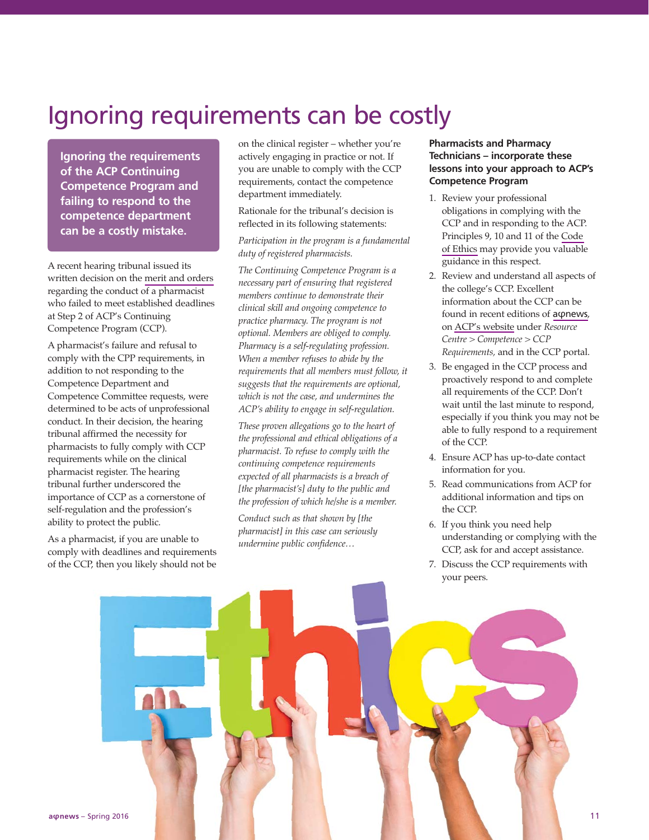### Ignoring requirements can be costly

**Ignoring the requirements of the ACP Continuing Competence Program and failing to respond to the competence department can be a costly mistake.**

A recent hearing tribunal issued its written decision on the [merit and orders](https://pharmacists.ab.ca/sites/default/files/Bright - 4033.pdf) regarding the conduct of a pharmacist who failed to meet established deadlines at Step 2 of ACP's Continuing Competence Program (CCP).

A pharmacist's failure and refusal to comply with the CPP requirements, in addition to not responding to the Competence Department and Competence Committee requests, were determined to be acts of unprofessional conduct. In their decision, the hearing tribunal affirmed the necessity for pharmacists to fully comply with CCP requirements while on the clinical pharmacist register. The hearing tribunal further underscored the importance of CCP as a cornerstone of self-regulation and the profession's ability to protect the public.

As a pharmacist, if you are unable to comply with deadlines and requirements of the CCP, then you likely should not be on the clinical register – whether you're actively engaging in practice or not. If you are unable to comply with the CCP requirements, contact the competence department immediately.

Rationale for the tribunal's decision is reflected in its following statements:

#### *Participation in the program is a fundamental duty of registered pharmacists.*

*The Continuing Competence Program is a necessary part of ensuring that registered members continue to demonstrate their clinical skill and ongoing competence to practice pharmacy. The program is not optional. Members are obliged to comply. Pharmacy is a self-regulating profession. When a member refuses to abide by the requirements that all members must follow, it suggests that the requirements are optional, which is not the case, and undermines the ACP's ability to engage in self-regulation.*

*These proven allegations go to the heart of the professional and ethical obligations of a pharmacist. To refuse to comply with the continuing competence requirements expected of all pharmacists is a breach of [the pharmacist's] duty to the public and the profession of which he/she is a member.*

*Conduct such as that shown by [the pharmacist] in this case can seriously undermine public confidence…*

#### **Pharmacists and Pharmacy Technicians – incorporate these lessons into your approach to ACP's Competence Program**

- 1. Review your professional obligations in complying with the CCP and in responding to the ACP. Principles 9, 10 and 11 of the [Code](https://pharmacists.ab.ca/sites/default/files/CodeofEthicsBooklet.pdf) [of Ethics](https://pharmacists.ab.ca/sites/default/files/CodeofEthicsBooklet.pdf) may provide you valuable guidance in this respect.
- 2. Review and understand all aspects of the college's CCP. Excellent information about the CCP can be found in recent editions of a o[news](https://pharmacists.ab.ca/newsletter). on [ACP's website](https://pharmacists.ab.ca/ccp-requirements) under *Resource Centre > Competence > CCP Requirements,* and in the CCP portal.
- 3. Be engaged in the CCP process and proactively respond to and complete all requirements of the CCP. Don't wait until the last minute to respond, especially if you think you may not be able to fully respond to a requirement of the CCP.
- 4. Ensure ACP has up-to-date contact information for you.
- 5. Read communications from ACP for additional information and tips on the CCP.
- 6. If you think you need help understanding or complying with the CCP, ask for and accept assistance.
- 7. Discuss the CCP requirements with your peers.

**a** φ**news** – Spring 2016 **11**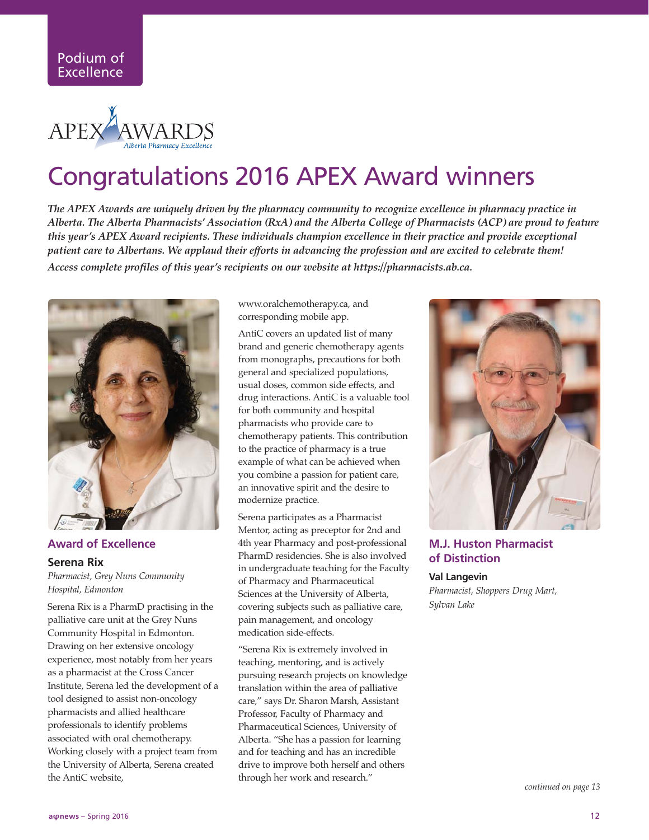

# Congratulations 2016 APEX Award winners

*The APEX Awards are uniquely driven by the pharmacy community to recognize excellence in pharmacy practice in Alberta. The Alberta Pharmacists' Association (RxA) and the Alberta College of Pharmacists (ACP) are proud to feature this year's APEX Award recipients. These individuals champion excellence in their practice and provide exceptional patient care to Albertans. We applaud their efforts in advancing the profession and are excited to celebrate them! Access complete profiles of this year's recipients on our website at https://pharmacists.ab.ca.*



**Award of Excellence Serena Rix** *Pharmacist, Grey Nuns Community Hospital, Edmonton* 

Serena Rix is a PharmD practising in the palliative care unit at the Grey Nuns Community Hospital in Edmonton. Drawing on her extensive oncology experience, most notably from her years as a pharmacist at the Cross Cancer Institute, Serena led the development of a tool designed to assist non-oncology pharmacists and allied healthcare professionals to identify problems associated with oral chemotherapy. Working closely with a project team from the University of Alberta, Serena created the AntiC website,

www.oralchemotherapy.ca, and corresponding mobile app.

AntiC covers an updated list of many brand and generic chemotherapy agents from monographs, precautions for both general and specialized populations, usual doses, common side effects, and drug interactions. AntiC is a valuable tool for both community and hospital pharmacists who provide care to chemotherapy patients. This contribution to the practice of pharmacy is a true example of what can be achieved when you combine a passion for patient care, an innovative spirit and the desire to modernize practice.

Serena participates as a Pharmacist Mentor, acting as preceptor for 2nd and 4th year Pharmacy and post-professional PharmD residencies. She is also involved in undergraduate teaching for the Faculty of Pharmacy and Pharmaceutical Sciences at the University of Alberta, covering subjects such as palliative care, pain management, and oncology medication side-effects.

"Serena Rix is extremely involved in teaching, mentoring, and is actively pursuing research projects on knowledge translation within the area of palliative care," says Dr. Sharon Marsh, Assistant Professor, Faculty of Pharmacy and Pharmaceutical Sciences, University of Alberta. "She has a passion for learning and for teaching and has an incredible drive to improve both herself and others through her work and research."



#### **M.J. Huston Pharmacist of Distinction**

**Val Langevin** *Pharmacist, Shoppers Drug Mart, Sylvan Lake*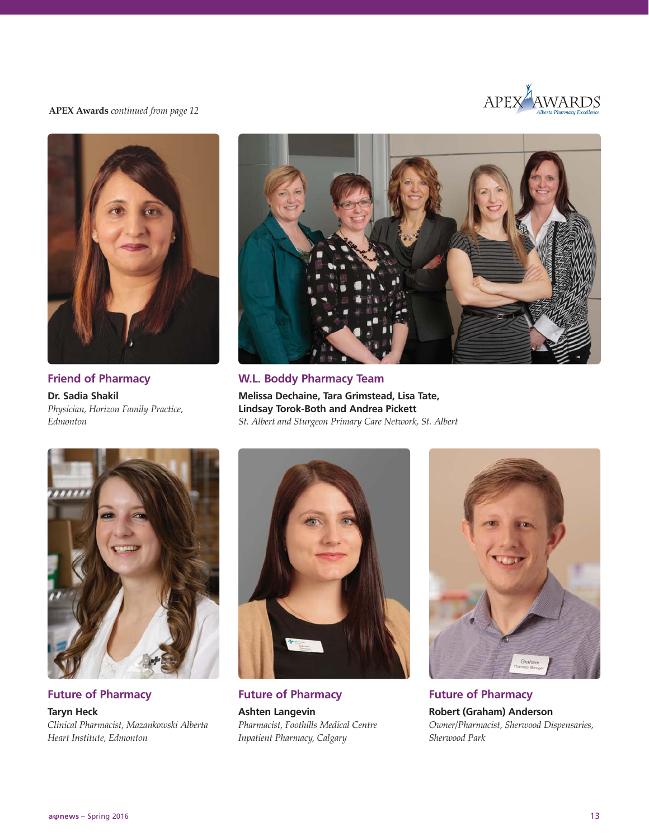

**APEX Awards** *continued from page 12*



**Friend of Pharmacy Dr. Sadia Shakil**  *Physician, Horizon Family Practice, Edmonton* 



**W.L. Boddy Pharmacy Team Melissa Dechaine, Tara Grimstead, Lisa Tate, Lindsay Torok-Both and Andrea Pickett** *St. Albert and Sturgeon Primary Care Network, St. Albert* 



**Future of Pharmacy Taryn Heck** *Clinical Pharmacist, Mazankowski Alberta Heart Institute, Edmonton*



**Future of Pharmacy Ashten Langevin** *Pharmacist, Foothills Medical Centre Inpatient Pharmacy, Calgary*

![](_page_12_Picture_10.jpeg)

**Future of Pharmacy Robert (Graham) Anderson** *Owner/Pharmacist, Sherwood Dispensaries, Sherwood Park*